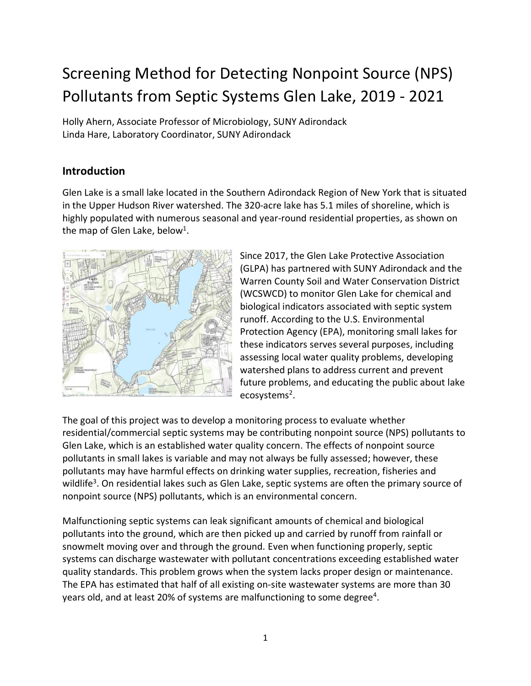# <span id="page-0-0"></span>Screening Method for Detecting Nonpoint Source (NPS) Pollutants from Septic Systems Glen Lake, 2019 - 2021

Holly Ahern, Associate Professor of Microbiology, SUNY Adirondack Linda Hare, Laboratory Coordinator, SUNY Adirondack

## **Introduction**

Glen Lake is a small lake located in the Southern Adirondack Region of New York that is situated in the Upper Hudson River watershed. The 320-acre lake has 5.1 miles of shoreline, which is highly populated with numerous seasonal and year-round residential properties, as shown on the map of Glen Lake, below<sup>1</sup>.



Since 2017, the Glen Lake Protective Association (GLPA) has partnered with SUNY Adirondack and the Warren County Soil and Water Conservation District (WCSWCD) to monitor Glen Lake for chemical and biological indicators associated with septic system runoff. According to the U.S. Environmental Protection Agency (EPA), monitoring small lakes for these indicators serves several purposes, including assessing local water quality problems, developing watershed plans to address current and prevent future problems, and educating the public about lake ecosystems<sup>2</sup>.

The goal of this project was to develop a monitoring process to evaluate whether residential/commercial septic systems may be contributing nonpoint source (NPS) pollutants to Glen Lake, which is an established water quality concern. The effects of nonpoint source pollutants in small lakes is variable and may not always be fully assessed; however, these pollutants may have harmful effects on drinking water supplies, recreation, fisheries and wildlife<sup>3</sup>. On residential lakes such as Glen Lake, septic systems are often the primary source of nonpoint source (NPS) pollutants, which is an environmental concern.

Malfunctioning septic systems can leak significant amounts of chemical and biological pollutants into the ground, which are then picked up and carried by runoff from rainfall or snowmelt moving over and through the ground. Even when functioning properly, septic systems can discharge wastewater with pollutant concentrations exceeding established water quality standards. This problem grows when the system lacks proper design or maintenance. The EPA has estimated that half of all existing on-site wastewater systems are more than 30 years old, and at least 20% of systems are malfunctioning to some degree<sup>4</sup>.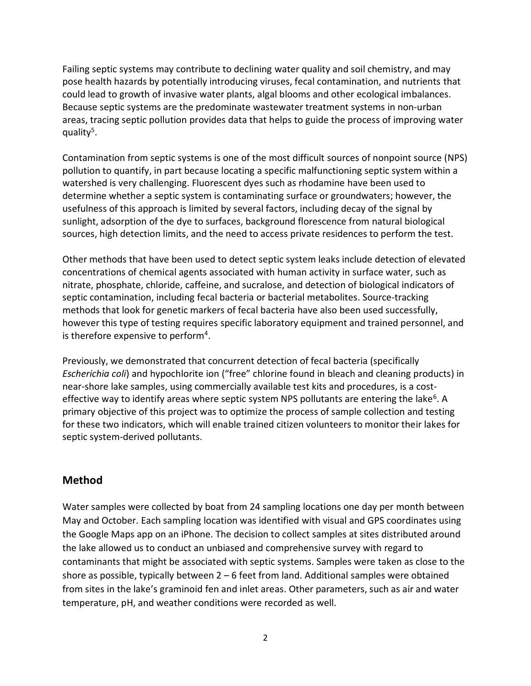Failing septic systems may contribute to declining water quality and soil chemistry, and may pose health hazards by potentially introducing viruses, fecal contamination, and nutrients that could lead to growth of invasive water plants, algal blooms and other ecological imbalances. Because septic systems are the predominate wastewater treatment systems in non-urban areas, tracing septic pollution provides data that helps to guide the process of improving water quality<sup>5</sup>.

Contamination from septic systems is one of the most difficult sources of nonpoint source (NPS) pollution to quantify, in part because locating a specific malfunctioning septic system within a watershed is very challenging. Fluorescent dyes such as rhodamine have been used to determine whether a septic system is contaminating surface or groundwaters; however, the usefulness of this approach is limited by several factors, including decay of the signal by sunlight, adsorption of the dye to surfaces, background florescence from natural biological sources, high detection limits, and the need to access private residences to perform the test.

Other methods that have been used to detect septic system leaks include detection of elevated concentrations of chemical agents associated with human activity in surface water, such as nitrate, phosphate, chloride, caffeine, and sucralose, and detection of biological indicators of septic contamination, including fecal bacteria or bacterial metabolites. Source-tracking methods that look for genetic markers of fecal bacteria have also been used successfully, however this type of testing requires specific laboratory equipment and trained personnel, and is therefore expensive to perform<sup>4</sup>.

Previously, we demonstrated that concurrent detection of fecal bacteria (specifically *Escherichia coli*) and hypochlorite ion ("free" chlorine found in bleach and cleaning products) in near-shore lake samples, using commercially available test kits and procedures, is a costeffective way to identify areas where septic system NPS pollutants are entering the lake<sup>6</sup>. A primary objective of this project was to optimize the process of sample collection and testing for these two indicators, which will enable trained citizen volunteers to monitor their lakes for septic system-derived pollutants.

### **Method**

Water samples were collected by boat from 24 sampling locations one day per month between May and October. Each sampling location was identified with visual and GPS coordinates using the Google Maps app on an iPhone. The decision to collect samples at sites distributed around the lake allowed us to conduct an unbiased and comprehensive survey with regard to contaminants that might be associated with septic systems. Samples were taken as close to the shore as possible, typically between  $2 - 6$  feet from land. Additional samples were obtained from sites in the lake's graminoid fen and inlet areas. Other parameters, such as air and water temperature, pH, and weather conditions were recorded as well.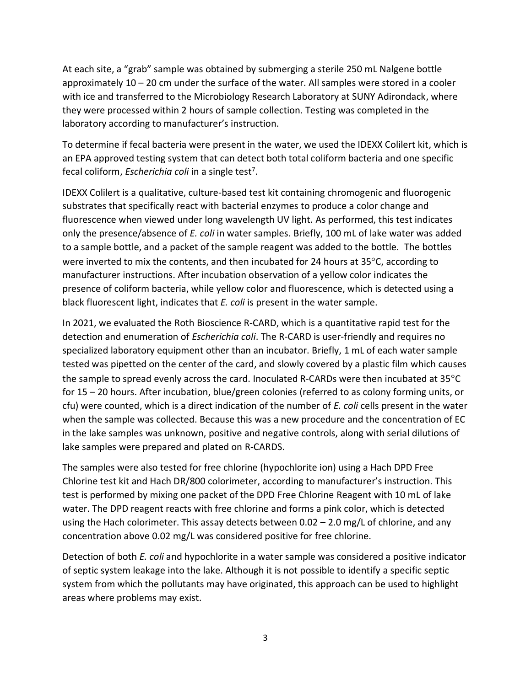At each site, a "grab" sample was obtained by submerging a sterile 250 mL Nalgene bottle approximately 10 – 20 cm under the surface of the water. All samples were stored in a cooler with ice and transferred to the Microbiology Research Laboratory at SUNY Adirondack, where they were processed within 2 hours of sample collection. Testing was completed in the laboratory according to manufacturer's instruction.

To determine if fecal bacteria were present in the water, we used the IDEXX Colilert kit, which is an EPA approved testing system that can detect both total coliform bacteria and one specific fecal coliform, *Escherichia coli* in a single test<sup>7</sup>.

IDEXX Colilert is a qualitative, culture-based test kit containing chromogenic and fluorogenic substrates that specifically react with bacterial enzymes to produce a color change and fluorescence when viewed under long wavelength UV light. As performed, this test indicates only the presence/absence of *E. coli* in water samples. Briefly, 100 mL of lake water was added to a sample bottle, and a packet of the sample reagent was added to the bottle. The bottles were inverted to mix the contents, and then incubated for 24 hours at  $35^{\circ}$ C, according to manufacturer instructions. After incubation observation of a yellow color indicates the presence of coliform bacteria, while yellow color and fluorescence, which is detected using a black fluorescent light, indicates that *E. coli* is present in the water sample.

In 2021, we evaluated the Roth Bioscience R-CARD, which is a quantitative rapid test for the detection and enumeration of *Escherichia coli*. The R-CARD is user-friendly and requires no specialized laboratory equipment other than an incubator. Briefly, 1 mL of each water sample tested was pipetted on the center of the card, and slowly covered by a plastic film which causes the sample to spread evenly across the card. Inoculated R-CARDs were then incubated at 35°C for 15 – 20 hours. After incubation, blue/green colonies (referred to as colony forming units, or cfu) were counted, which is a direct indication of the number of *E. coli* cells present in the water when the sample was collected. Because this was a new procedure and the concentration of EC in the lake samples was unknown, positive and negative controls, along with serial dilutions of lake samples were prepared and plated on R-CARDS.

The samples were also tested for free chlorine (hypochlorite ion) using a Hach DPD Free Chlorine test kit and Hach DR/800 colorimeter, according to manufacturer's instruction. This test is performed by mixing one packet of the DPD Free Chlorine Reagent with 10 mL of lake water. The DPD reagent reacts with free chlorine and forms a pink color, which is detected using the Hach colorimeter. This assay detects between 0.02  $-$  2.0 mg/L of chlorine, and any concentration above 0.02 mg/L was considered positive for free chlorine.

Detection of both *E. coli* and hypochlorite in a water sample was considered a positive indicator of septic system leakage into the lake. Although it is not possible to identify a specific septic system from which the pollutants may have originated, this approach can be used to highlight areas where problems may exist.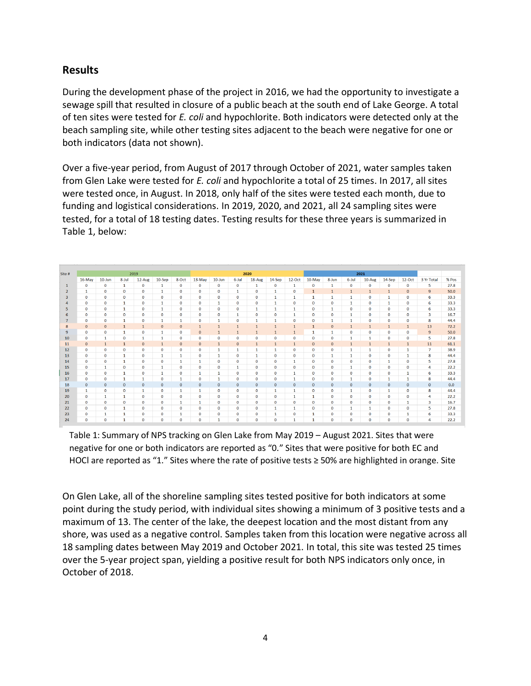### **Results**

During the development phase of the project in 2016, we had the opportunity to investigate a sewage spill that resulted in closure of a public beach at the south end of Lake George. A total of ten sites were tested for *E. coli* and hypochlorite. Both indicators were detected only at the beach sampling site, while other testing sites adjacent to the beach were negative for one or both indicators (data not shown).

Over a five-year period, from August of 2017 through October of 2021, water samples taken from Glen Lake were tested for *E. coli* and hypochlorite a total of 25 times. In 2017, all sites were tested once, in August. In 2018, only half of the sites were tested each month, due to funding and logistical considerations. In 2019, 2020, and 2021, all 24 sampling sites were tested, for a total of 18 testing dates. Testing results for these three years is summarized in Table 1, below:

| Site #         | 2019         |              |              | 2020         |              |              |              |              |                | 2021         |              |                |              |              |              |              |              |              |                         |       |
|----------------|--------------|--------------|--------------|--------------|--------------|--------------|--------------|--------------|----------------|--------------|--------------|----------------|--------------|--------------|--------------|--------------|--------------|--------------|-------------------------|-------|
|                | 16-May       | $10$ -Jun    | $8 -$ Jul    | 12-Aug       | $10-Sep$     | 8-Oct        | 13-May       | $10 - Jun$   | 6-Jul          | 18-Aug       | $14-Sep$     | $12$ -Oct      | 10-May       | 8-Jun        | $6 -$ Jul    | 10-Aug       | $14-Sep$     | $12-Oct$     | 3 Yr Total              | % Pos |
| $\mathbf{1}$   | $\mathbf{0}$ | $\mathbf 0$  | 1            | $\mathbf 0$  | 1            | $\mathbf 0$  | 0            | $\bf{0}$     | $\bf{0}$       | 1            | $\mathbf 0$  | 1              | $\mathbf 0$  | 1            | $\mathbf 0$  | $\mathbf 0$  | $\mathbf 0$  | $\bf{0}$     | 5                       | 27.8  |
| $\overline{2}$ | 1            | $\mathbf 0$  | $\mathbf{0}$ | 0            | 1            | $\mathbf 0$  | $\bf{0}$     | $\bf{0}$     | 1              | $\bf{0}$     | $\mathbf{1}$ | $\mathbf{0}$   |              |              |              | $\mathbf{1}$ |              | $\mathbf{0}$ | $\overline{9}$          | 50.0  |
| 3              | $\mathbf 0$  | $\mathbf{0}$ | $\mathbf{0}$ | $\mathbf 0$  | $\mathbf 0$  | 0            | $\bf{0}$     | $\bf{0}$     | $\bf{0}$       | $\bf{0}$     | 1            | 1              |              | 1            |              | $\mathbf 0$  |              | $\bf{0}$     | 6                       | 33.3  |
| 4              | $\mathbf 0$  | $\bf{0}$     |              | $\mathbf 0$  | 1            | 0            | $\bf{0}$     | $\mathbf{1}$ | $\bf{0}$       | $\mathbf 0$  |              | $\bf{0}$       | $\bf{0}$     | $\mathbf{0}$ |              | $\mathbf{0}$ |              | $\mathbf 0$  | 6                       | 33.3  |
| 5              | $\mathbf 0$  | 0            | 1            | $\mathbf 0$  | $\mathbf{1}$ | $\bf{0}$     | $\bf{0}$     | $\bf{0}$     | $\bf{0}$       | 1            | 1            | 1              | $\mathbf 0$  | $\mathbf{1}$ | $\mathbf 0$  | $\mathbf{0}$ | $\bf{0}$     | $\bf{0}$     | 6                       | 33.3  |
| 6              | $\mathbf 0$  | 0            | $\mathbf{0}$ | $\bf{0}$     | $\bf{0}$     | 0            | $\bf{0}$     | $\bf{0}$     | 1              | $\bf{0}$     | $\bf{0}$     |                | $\bf{0}$     | $\mathbf 0$  |              | $\mathbf{0}$ | 0            | $\bf{0}$     | $\overline{\mathbf{3}}$ | 16.7  |
| $\overline{7}$ | $\mathbf 0$  | $\mathbf{0}$ | 1            | 0            | 1            | 1            | $\bf{0}$     | 1            | $\bf{0}$       | 1            |              | $\mathbf{0}$   | $\mathbf{0}$ | $\mathbf{1}$ | $\mathbf{1}$ | $\bf{0}$     | $\mathbf{0}$ | $\mathbf 0$  | 8                       | 44.4  |
| 8              | $\mathbf{0}$ | $\mathbf 0$  | $\mathbf{1}$ | $\mathbf{1}$ | $\bf{0}$     | $\mathbf 0$  | $\mathbf{1}$ | $\mathbf{1}$ | $\overline{1}$ | $\mathbf{1}$ | -1           | $\overline{1}$ | $\mathbf{1}$ | $\mathbf 0$  | $\mathbf{1}$ | $\mathbf{1}$ | $\mathbf{1}$ | $\mathbf{1}$ | 13                      | 72.2  |
| 9              | $\Omega$     | $\mathbf 0$  | 1            | $\mathbf 0$  | $\mathbf{1}$ | $\mathbf 0$  | $\mathbf{0}$ | $\mathbf{1}$ | $\mathbf{1}$   | $\mathbf{1}$ | $\mathbf{1}$ | $\overline{1}$ |              | $\mathbf{1}$ | $\mathbf 0$  | $\mathbf 0$  | 0            | $\mathbf 0$  | $\overline{9}$          | 50.0  |
| 10             | $\mathbf 0$  | $\mathbf{1}$ | $\mathbf 0$  | $\mathbf{1}$ | $\mathbf{1}$ | $\mathbf{O}$ | 0            | $\mathbf 0$  | $\mathbf 0$    | $\bf{0}$     | $\mathbf 0$  | $\mathbf 0$    | $\mathbf 0$  | $\mathbf 0$  | $\mathbf{1}$ | 1            | $\mathbf{O}$ | $\mathbf 0$  | 5                       | 27.8  |
| 11             | $\mathbf{0}$ | $\mathbf{1}$ | $\mathbf{1}$ | $\mathbf{0}$ | $\mathbf{1}$ | $\mathbf{0}$ | $\mathbf{0}$ | $\mathbf{1}$ | $\mathbf{0}$   | $\mathbf{1}$ | $\mathbf{1}$ | $\mathbf{1}$   | $\mathbf{0}$ | $\mathbf 0$  | $\mathbf{1}$ | $\mathbf{1}$ | $\mathbf{1}$ | $\mathbf{1}$ | 11                      | 61.1  |
| 12             | $\mathbf 0$  | $\mathbf 0$  | $\mathbf 0$  | $\mathbf 0$  | 0            | $\mathbf 0$  | 0            | $\mathbf{1}$ | 1              | 1            | 1            | $\mathbf 0$    | $\mathbf 0$  | $\mathbf 0$  | 1            | 1            | $\mathbf{0}$ | $\mathbf{1}$ | $\overline{7}$          | 38.9  |
| 13             | $\mathbf 0$  | $\mathbf 0$  | $\mathbf{1}$ | $\mathbf 0$  | 1            | $\mathbf{1}$ | 0            | 1            | $\bf{0}$       | $\mathbf{1}$ | $\mathbf 0$  | $\mathbf 0$    | $\mathbf 0$  | $\mathbf{1}$ | 1            | $\mathbf 0$  | $\mathbf 0$  | $\mathbf{1}$ | 8                       | 44.4  |
| 14             | $\mathbf 0$  | $\mathbf 0$  | 1            | $\mathbf 0$  | $\mathbf 0$  | $\mathbf{1}$ | 1            | $\mathbf{0}$ | $\bf{0}$       | $\bf{0}$     | $\mathbf 0$  | $\mathbf{1}$   | $\mathbf 0$  | $\mathbf 0$  | $\mathbf 0$  | $\mathbf 0$  | 1            | $\bf{0}$     | 5                       | 27.8  |
| 15             | $\mathbf{0}$ | $\mathbf{1}$ | $\mathbf{0}$ | $\mathbf 0$  | -1           | $\bf{0}$     | $\bf{0}$     | $\mathbf{0}$ | 1              | $\bf{0}$     | $\mathbf{0}$ | $\mathbf{0}$   | $\mathbf{0}$ | $\mathbf{0}$ |              | $\mathbf 0$  | $\bf{0}$     | $\bf{0}$     | 4                       | 22.2  |
| 16             | $\mathbf{0}$ | $\mathbf 0$  |              | $\mathbf 0$  | 1            | 0            | 1            | 1            | $\bf{0}$       | $\bf{0}$     | $\bf{0}$     |                | $\mathbf 0$  | $\mathbf{0}$ | $\mathbf 0$  | $\mathbf 0$  | 0            | 1            | 6                       | 33.3  |
| 17             | $\mathbf 0$  | $\mathbf 0$  |              | 1            | 0            | 1            | $\bf{0}$     | $\mathbf{1}$ | $\bf{0}$       | $\bf{0}$     | $\bf{0}$     |                | $\mathbf{0}$ | $\mathbf{0}$ |              | $\mathbf{0}$ |              | 1            | 8                       | 44.4  |
| 18             | $\mathbf{0}$ | $\bf{0}$     | $\mathbf{0}$ | 0            | $\bf{0}$     | 0            | $\bf{0}$     | $\bf{0}$     | $\bf{0}$       | $\bf{0}$     | $\mathbf{0}$ | $\mathbf{0}$   | $\mathbf{0}$ | $\mathbf{0}$ | $\mathbf 0$  | $\bf{0}$     | $\bf{0}$     | $\bf{0}$     | $\mathbf{0}$            | 0.0   |
| 19             | $\mathbf{1}$ | $\mathbf 0$  | $\mathbf 0$  | $\mathbf{1}$ | O            | 1            | 1            | $\bf{0}$     | $\bf{0}$       | $\bf{0}$     | 1            | 1              | $\mathbf{0}$ | $\mathbf{0}$ | 1            | $\mathbf 0$  | 1            | $\mathbf{0}$ | 8                       | 44.4  |
| 20             | 0            | 1            | 1            | $\bf o$      | 0            | 0            | 0            | $\mathbf 0$  | 0              | $\bf{0}$     | $\bf{0}$     | 1              | $\mathbf{1}$ | $\mathbf 0$  | O            | $\bf{0}$     | 0            | $\bf{0}$     | 4                       | 22.2  |
| 21             | $\mathbf 0$  | $\mathbf 0$  | $\mathbf 0$  | $\bf{0}$     | $\mathbf 0$  | 1            | $\mathbf{1}$ | $\mathbf 0$  | $\mathbf 0$    | $\bf{0}$     | $\bf{0}$     | $\mathbf 0$    | $\mathbf 0$  | $\mathbf 0$  | $\bf{0}$     | $\mathbf 0$  | $\mathbf 0$  | 1            | $\overline{\mathbf{3}}$ | 16.7  |
| 22             | $\mathbf 0$  | $\mathbf 0$  | $\mathbf{1}$ | $\mathbf 0$  | $\mathbf 0$  | $\mathbf{O}$ | $\mathbf 0$  | $\mathbf 0$  | $\bf{0}$       | $\mathbf 0$  | $\mathbf{1}$ | $\mathbf{1}$   | $\mathbf 0$  | $\mathbf 0$  | 1            | $\mathbf{1}$ | $\mathbf{O}$ | $\mathbf 0$  | 5                       | 27.8  |
| 23             | $\mathbf 0$  | $\mathbf{1}$ | $\mathbf{1}$ | $\mathbf 0$  | $\mathbf 0$  | 1            | $\mathbf 0$  | $\bf{0}$     | $\bf{0}$       | $\bf{0}$     | 1            | $\mathbf 0$    | $\mathbf{1}$ | $\mathbf 0$  | $\mathbf 0$  | $\mathbf 0$  | $\bf{0}$     | 1            | 6                       | 33.3  |
| 24             | $\mathbf 0$  | $\mathbf 0$  | 1            | 0            | $\mathbf 0$  | $\mathbf 0$  | $\Omega$     | $\mathbf{1}$ | $\Omega$       | $\bf{0}$     | $\Omega$     | 1              |              | $\mathbf 0$  | $\Omega$     | $\Omega$     | $\Omega$     | $\Omega$     | $\overline{4}$          | 22.2  |

Table 1: Summary of NPS tracking on Glen Lake from May 2019 – August 2021. Sites that were negative for one or both indicators are reported as "0." Sites that were positive for both EC and HOCl are reported as "1." Sites where the rate of positive tests ≥ 50% are highlighted in orange. Site

On Glen Lake, all of the shoreline sampling sites tested positive for both indicators at some point during the study period, with individual sites showing a minimum of 3 positive tests and a maximum of 13. The center of the lake, the deepest location and the most distant from any shore, was used as a negative control. Samples taken from this location were negative across all 18 sampling dates between May 2019 and October 2021. In total, this site was tested 25 times over the 5-year project span, yielding a positive result for both NPS indicators only once, in October of 2018.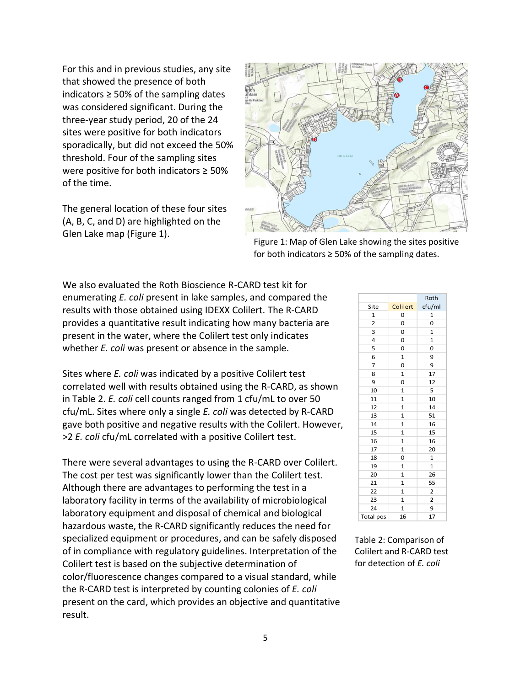For this and in previous studies, any site that showed the presence of both indicators  $\geq$  50% of the sampling dates was considered significant. During the three-year study period, 20 of the 24 sites were positive for both indicators sporadically, but did not exceed the 50% threshold. Four of the sampling sites were positive for both indicators ≥ 50% of the time.

The general location of these four sites (A, B, C, and D) are highlighted on the Glen Lake map (Figure 1).



Figure 1: Map of Glen Lake showing the sites positive for both indicators  $\geq$  50% of the sampling dates.

We also evaluated the Roth Bioscience R-CARD test kit for enumerating *E. coli* present in lake samples, and compared the results with those obtained using IDEXX Colilert. The R-CARD provides a quantitative result indicating how many bacteria are present in the water, where the Colilert test only indicates whether *E. coli* was present or absence in the sample.

Sites where *E. coli* was indicated by a positive Colilert test correlated well with results obtained using the R-CARD, as shown in Table 2. *E. coli* cell counts ranged from 1 cfu/mL to over 50 cfu/mL. Sites where only a single *E. coli* was detected by R-CARD gave both positive and negative results with the Colilert. However, >2 *E. coli* cfu/mL correlated with a positive Colilert test.

There were several advantages to using the R-CARD over Colilert. The cost per test was significantly lower than the Colilert test. Although there are advantages to performing the test in a laboratory facility in terms of the availability of microbiological laboratory equipment and disposal of chemical and biological hazardous waste, the R-CARD significantly reduces the need for specialized equipment or procedures, and can be safely disposed of in compliance with regulatory guidelines. Interpretation of the Colilert test is based on the subjective determination of color/fluorescence changes compared to a visual standard, while the R-CARD test is interpreted by counting colonies of *E. coli* present on the card, which provides an objective and quantitative result.

|                  |              | Roth                    |
|------------------|--------------|-------------------------|
| Site             | Colilert     | cfu/ml                  |
| 1                | 0            | 1                       |
| $\overline{2}$   | 0            | 0                       |
| 3                | 0            | 1                       |
| 4                | 0            | $\mathbf{1}$            |
| 5                | 0            | O                       |
| 6                | 1            | 9                       |
| 7                | 0            | 9                       |
| 8                | $\mathbf{1}$ | 17                      |
| 9                | 0            | 12                      |
| 10               | 1            | 5                       |
| 11               | 1            | 10                      |
| 12               | $\mathbf{1}$ | 14                      |
| 13               | 1            | 51                      |
| 14               | 1            | 16                      |
| 15               | $\mathbf{1}$ | 15                      |
| 16               | 1            | 16                      |
| 17               | 1            | 20                      |
| 18               | 0            | $\mathbf{1}$            |
| 19               | 1            | 1                       |
| 20               | 1            | 26                      |
| 21               | 1            | 55                      |
| 22               | $\mathbf{1}$ | $\overline{\mathbf{c}}$ |
| 23               | 1            | 2                       |
| 24               | 1            | 9                       |
| <b>Total pos</b> | 16           | 17                      |

Table 2: Comparison of Colilert and R-CARD test for detection of *E. coli*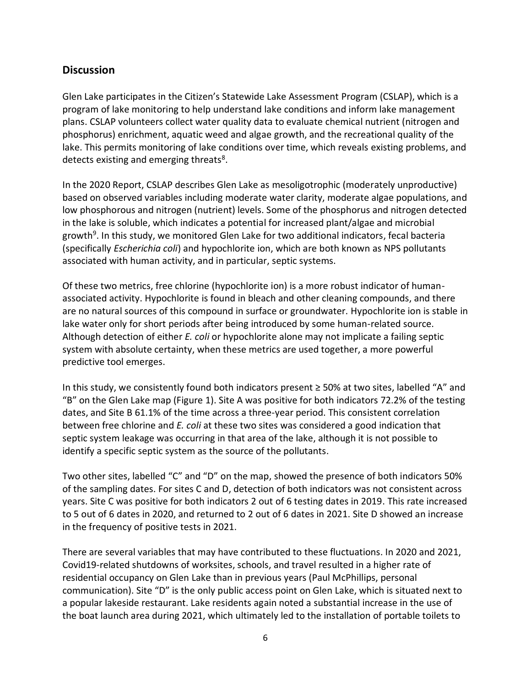### **Discussion**

Glen Lake participates in the Citizen's Statewide Lake Assessment Program (CSLAP), which is a program of lake monitoring to help understand lake conditions and inform lake management plans. CSLAP volunteers collect water quality data to evaluate chemical nutrient (nitrogen and phosphorus) enrichment, aquatic weed and algae growth, and the recreational quality of the lake. This permits monitoring of lake conditions over time, which reveals existing problems, and detects existing and emerging threats<sup>8</sup>.

In the 2020 Report, CSLAP describes Glen Lake as mesoligotrophic (moderately unproductive) based on observed variables including moderate water clarity, moderate algae populations, and low phosphorous and nitrogen (nutrient) levels. Some of the phosphorus and nitrogen detected in the lake is soluble, which indicates a potential for increased plant/algae and microbial growth<sup>9</sup>. In this study, we monitored Glen Lake for two additional indicators, fecal bacteria (specifically *Escherichia coli*) and hypochlorite ion, which are both known as NPS pollutants associated with human activity, and in particular, septic systems.

Of these two metrics, free chlorine (hypochlorite ion) is a more robust indicator of humanassociated activity. Hypochlorite is found in bleach and other cleaning compounds, and there are no natural sources of this compound in surface or groundwater. Hypochlorite ion is stable in lake water only for short periods after being introduced by some human-related source. Although detection of either *E. coli* or hypochlorite alone may not implicate a failing septic system with absolute certainty, when these metrics are used together, a more powerful predictive tool emerges.

In this study, we consistently found both indicators present ≥ 50% at two sites, labelled "A" and "B" on the Glen Lake map (Figure 1). Site A was positive for both indicators 72.2% of the testing dates, and Site B 61.1% of the time across a three-year period. This consistent correlation between free chlorine and *E. coli* at these two sites was considered a good indication that septic system leakage was occurring in that area of the lake, although it is not possible to identify a specific septic system as the source of the pollutants.

Two other sites, labelled "C" and "D" on the map, showed the presence of both indicators 50% of the sampling dates. For sites C and D, detection of both indicators was not consistent across years. Site C was positive for both indicators 2 out of 6 testing dates in 2019. This rate increased to 5 out of 6 dates in 2020, and returned to 2 out of 6 dates in 2021. Site D showed an increase in the frequency of positive tests in 2021.

There are several variables that may have contributed to these fluctuations. In 2020 and 2021, Covid19-related shutdowns of worksites, schools, and travel resulted in a higher rate of residential occupancy on Glen Lake than in previous years (Paul McPhillips, personal communication). Site "D" is the only public access point on Glen Lake, which is situated next to a popular lakeside restaurant. Lake residents again noted a substantial increase in the use of the boat launch area during 2021, which ultimately led to the installation of portable toilets to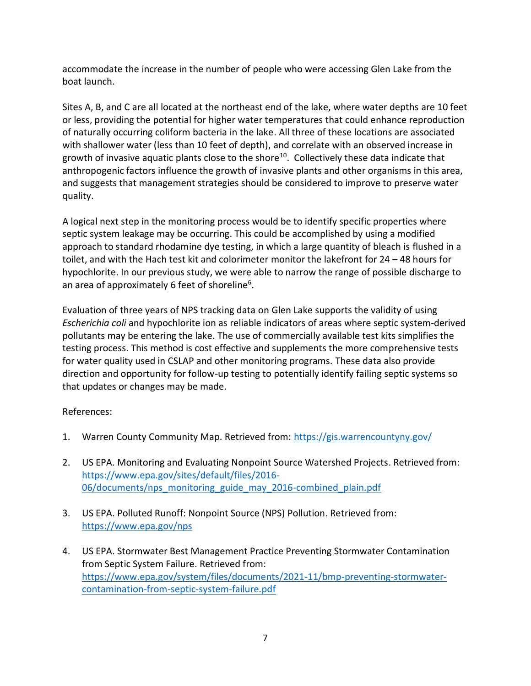accommodate the increase in the number of people who were accessing Glen Lake from the boat launch.

Sites A, B, and C are all located at the northeast end of the lake, where water depths are 10 feet or less, providing the potential for higher water temperatures that could enhance reproduction of naturally occurring coliform bacteria in the lake. All three of these locations are associated with shallower water (less than 10 feet of depth), and correlate with an observed increase in growth of invasive aquatic plants close to the shore<sup>10</sup>. Collectively these data indicate that anthropogenic factors influence the growth of invasive plants and other organisms in this area, and suggests that management strategies should be considered to improve to preserve water quality.

A logical next step in the monitoring process would be to identify specific properties where septic system leakage may be occurring. This could be accomplished by using a modified approach to standard rhodamine dye testing, in which a large quantity of bleach is flushed in a toilet, and with the Hach test kit and colorimeter monitor the lakefront for 24 – 48 hours for hypochlorite. In our previous study, we were able to narrow the range of possible discharge to an area of approximately 6 feet of shoreline<sup>6</sup>.

Evaluation of three years of NPS tracking data on Glen Lake supports the validity of using *Escherichia coli* and hypochlorite ion as reliable indicators of areas where septic system-derived pollutants may be entering the lake. The use of commercially available test kits simplifies the testing process. This method is cost effective and supplements the more comprehensive tests for water quality used in CSLAP and other monitoring programs. These data also provide direction and opportunity for follow-up testing to potentially identify failing septic systems so that updates or changes may be made.

#### References:

- 1. Warren County Community Map. Retrieved from: <https://gis.warrencountyny.gov/>
- 2. US EPA. Monitoring and Evaluating Nonpoint Source Watershed Projects. Retrieved from: [https://www.epa.gov/sites/default/files/2016-](https://www.epa.gov/sites/default/files/2016-06/documents/nps_monitoring_guide_may_2016-combined_plain.pdf) [06/documents/nps\\_monitoring\\_guide\\_may\\_2016-combined\\_plain.pdf](https://www.epa.gov/sites/default/files/2016-06/documents/nps_monitoring_guide_may_2016-combined_plain.pdf)
- 3. US EPA. Polluted Runoff: Nonpoint Source (NPS) Pollution. Retrieved from: <https://www.epa.gov/nps>
- 4. US EPA. Stormwater Best Management Practice Preventing Stormwater Contamination from Septic System Failure. Retrieved from: [https://www.epa.gov/system/files/documents/2021-11/bmp-preventing-stormwater](https://www.epa.gov/system/files/documents/2021-11/bmp-preventing-stormwater-contamination-from-septic-system-failure.pdf)[contamination-from-septic-system-failure.pdf](https://www.epa.gov/system/files/documents/2021-11/bmp-preventing-stormwater-contamination-from-septic-system-failure.pdf)